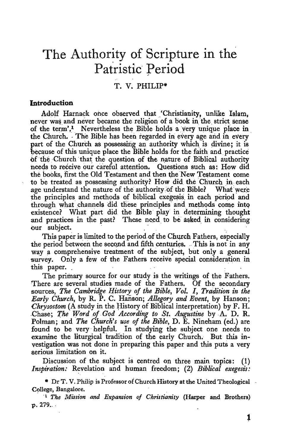# **The Authority of Scripture in the Patristic Period**

## T. V. PHILIP\*

### **Introduction**

Adolf Harnack once observed that 'Christianity, unlike Islam, never was and never became the religion of a book in the strict sense of the term'.<sup>1</sup> Nevertheless the Bible holds a very unique place in the Church. The Bible has been regarded in every age and in every part of the Church as possessing an authority which is divine; it is because of this unique place the Bible holds for the faith and practice of the Church that the question of the nature of Biblical authority needs to receive our careful attention. Questions such as: How did the books, first the Old Testament and then the New Testament come to be treated as possessing authority? How did the Church in each age understand the nature of the authority of the Bible? What were the principles and methods of biblical exegesis in each period and through what channels did these principles and methods come into existence? What part did the Bible play in determining thought and practices in the past? These need to be asked in considering our subject.

This paper is limited to the period of the Church Fathers, especially the period between the second and fifth centuries. This is not in any way a comprehensive treatment of the subject, but only a general survey. Only a few of the Fathers receive special consideration in this paper.

The primary source for our study is the writings of the Fathers. There are several studies made of the Fathers. Of the secondary sources, *The Cambridge History of the Bible, Vol. I, Tradition in the Early Church,* by R. P. C. Hanson; *Allegory and Event,* by Hanson; *Chrysostom* (A study in the History of Biblical interpretation) by F. H. . Chase; *The Word of God According to St. Augustine* by A. D. R. Polman; and *The Church's use of the Bible,* D. E. Nineham (ed.) are found to be very helpful. In studying the subject one needs to examine the liturgical tradition of the early Church. But this investigation was not done in preparing this paper and this puts a very serious limitation on it.

Discussion of the subject is centred on three main topics: (1) *Inspiration:* Revelation and human freedom; (2) *Biblical exegesis:* 

<sup>•</sup> Dr T.V. Philip is Professor of Church History at the United Theological College, Bangalore.

<sup>&</sup>lt;sup>1</sup> The Mission and Expansion of Christianity (Harper and Brothers)  $p. 279...$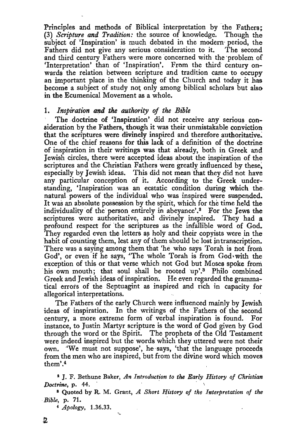Principles and methods of Biblical interpretation by the Fathers;<br>(3) Scripture and Tradition: the source of knowledge. Though the (3) *Scripture and Tradition*: the source of knowledge. subject of 'Inspiration' is much debated in the modern-period, the Fathers did not give any serious consideration to it. The second Fathers did not give any serious consideration to it. and third century Fathers were more concerned with the problem of 'Interpretation' than of 'Inspiration'. From the third century onwards the relation between scripture and tradition came to occupy an important place in the thinking of the Church and today it has become a subject of study not only among biblical scholars but also in the Ecumenical Movement as a whole.

#### 1. Inspiration and the authority of the Bible

The doctrine of 'Inspiration' did not receive any serious consideration by the Fathers, though it was their unmistakable conviction that the scriptures were divinely inspired and therefore authoritative. One of the chief reasons for this lack of a definition of the doctrine of inspiration in their writings was that already, both in Greek and Jewish circles, there were accepted ideas about the inspiration of the scriptures and the Christian Fathers were greatly influenced by these. especially by Jewish ideas. This did not mean that they did not have any particular conception of it. According to the Greek understanding, 'Inspiration was an ecstatic condition during which the. natural powers of the individual who was inspired were suspended. It was an absolute possession by the spirit, which for the time held the individuality of the person entirely in abeyance'.<sup>2</sup> For the Jews the scriptures were authoritative, and divinely inspired. They had a profound respect for the scriptures as the infallible word of God. They regarded even the letters as holy and their copyists were in the habit of counting them, lest any of them should be lost in transcription. There was a saying among them that 'he who says Torah is not from God', or even if he says, 'The whole Torah is from  $God$  with the exception of this or that verse which not God but Moses spoke from his own mouth; that soul shall be rooted up'.<sup>8</sup> Philo combined Greek and Jewish ideas of inspiration. He even regarded the grammatical errors of the Septuagint as inspired and rich in capacity for allegorical interpretations.

The Fathers of the early Church were influenced mainly by Jewish ideas of inspiration. In the writings of the Fathers of the second century, a more extreme form of verbal inspiration is found. For instance, to Justin Martyr scripture is the word of God given by God through the word or the Spirit. The prophets of the Old Testament were indeed inspired but the words which they uttered were not their own. 'We must not suppose', he says, 'that the language proceeds from the men who are inspired, but from the divine word which moves them'. $4$ 

<sup>2</sup> J. F. Bethune Baker, *An Introduction to the Early History of Christian Doctrine, p. 44.* 8 Quoted by R. M. Grant, *A Short History of the Interpretation of the* 

*Bible,* p. 71.

4 *Apology,* 1.36.33.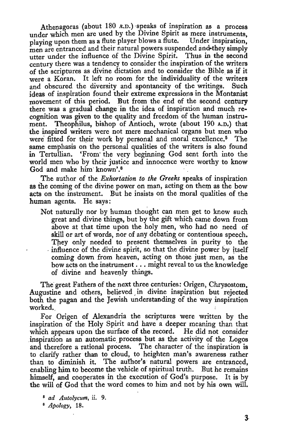Athenagoras (about  $180$  A.D.) speaks of inspiration as a process under which men are used by the Divine Spirit as mere instruments, playing upon them as a flute player blows a flute. Under inspiration, men are entranced and their natural powers suspended and-they simply utter under the influence of the Divine Spirit. Thus in the second century there was a tendency to consider the inspiration of the writers of the scriptures as divine dictation and to consider the Bible as if it were a Koran. It left no room for the individuality of the writers and obscured the diversity and spontaneity of the writings. Such ideas of inspiration found their extreme expressions in the Montanist movement of this period. But from the end of the second century there was a gradual change in the idea of inspiration and much recognition was given to the quality and freedom of the human instrument. Theophilus, bishop of Antioch, wrote (about 190 A.D.) that the inspired writers were not mere mechanical organs but men who were fitted for their work by personal and moral excellence.<sup>5</sup> The same emphasis on the personal qualities of the writers is also found in Tertullian. 'From' the very beginning God sent forth into the world men who by their justice and innocence were worthy to know God and make him· known'.6

The author of the *Exhortation to the Greeks* speaks of inspiration as the coming of the divine power on man, acting on them as the bow acts on the instrument. But he insists on the moral qualities of the human agents. He says:

Not naturally nor by human thought can men get to know such great and divine things, but by the gift which came down from above at that time upon the holy men, who had no need of skill or art of words, nor of any debating or contentious speech. They only needed to present themselves in purity to the . influence of the divine spirit, so that the divine power by itself coming down from heaven, acting on those just men, as the bow acts on the instrument ... might reveal to us the knowledge of divine and heavenly things.

The great Fathers of the next three centuries : Origen, Chrysostom, Augustine and others, believed , in divine inspiration but rejected both the pagan and the Jewish understanding of the way inspiration worked.

For Origen of Alexandria the scriptures were written by the inspiration of the Holy Spirit and have a deeper meaning than that which appears upon the surface of the record. He did not consider inspiration as an automatic. process but as the activity of the Logos and therefore a rational process. The character of the inspiration is to clarify rather than to cloud, to heighten man's awareness rather than to diminish it. The author's· natural powers are entranced, enabling him to become the vehicle of spiritual truth. But he remains himself, and cooperates in the execution of God's purpose. It is by the will of God that the word comes to him and not by his own will.

<sup>B</sup>*ad Autolycum,* ii. 9. 8 *Apology,* 18.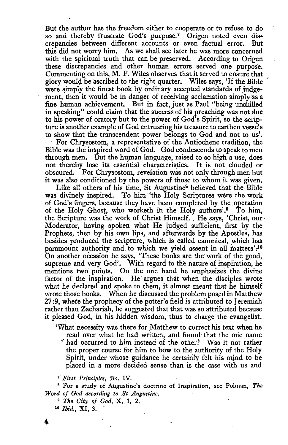But the author has the freedom either to cooperate or to refuse to do so and thereby frustrate God's purpose.<sup>7</sup> Origen noted even discrepancies between different accounts or even factual error. But this did not worry him. As we shall see later he was more concerned with the spiritual truth that can be preserved. According to Origen these discrepancies and other human errors served one purpose. Commenting on this, M. F. Wiles observes that it served to ensure that glory would be ascribed to the right quarter. Wiles says, 'If the Bible were simply the finest book by ordinary accepted standards of judgement, then it would be in danger of receiving acclamation simply as a fine human achievement. But in fact, just as Paul "being unskilled in speaking" could claim that the success of his preaching was not due to his power of oratory but to the power of God's Spirit, so the scripture is another example of God entrusting his treasure to earthen vessels to show that the transcendent power belongs to God and not to us'. For Chrysostom, a representative of the Antiochene tradition; the Bible was the inspired word of God. God condescends to speak to men through men. But the human language, raised to so high a use, does not thereby lose its essential characteristics. It is not clouded or obscured. For Chrysostom, revelation was not only through men but it was also conditioned by the powers of those to whom it was given.

Like all others of his time, St Augustine8 believed that the Bible was divinely inspired. To him 'the Holy Scriptures were the work of God's fingers, because they have been completed by the operation of the Holy Ghost, who worketh in the Holy authors'.<sup>9</sup> To him, the Scripture was the work of Christ Himself. He says, 'Christ, our Moderator, having spoken what He judged sufficient, first by the Prophets, then by his own lips, and afterwards by the Apostles, has besides produced the scripture, which is called canonical, which has paramount authority and to which we yield assent in all matters':<sup>10</sup> On another occasion he says, 'These books are the work of the good, supreme and very God'. With regard to the nature of inspiration, he mentions two points. On the one hand he emphasizes the divine factor of the inspiration. He argues that when the disciples wrote what he declared and spoke to them, it almost meant that he himself wrote those books. When he discussed the problem posed in Matthew 27:9, whete the prophecy of the potter's field is attributed to Jeremiah rather than Zachariah, he suggested that that was so attributed because it pleased God, in his hidden wisdom, thus to charge the evangelist.

'What necessity was there for Matthew to correct his text when he read over what he had written, and found that the one name 'had occurred to him instead of the other? Was it not rather the proper course for him to bow to the authority of the Holy Spirit, under whose guidance he certainly felt his mind to be placed in a more decided sense than is the case with us and

*T First Principles, Bk. IV.*<br><sup>8</sup> For a study of Augustine's doctrine of Inspiration, see Polman, *The Word of God according* to *St Augustine.* 

<sup>9</sup>*The City of God,* X, 1, 2. 10 *Ibid.,* XI, 3.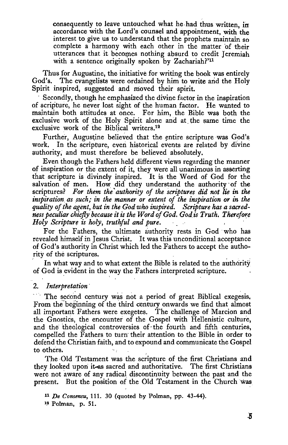consequently to leave untouched what he had thus written, in accordance with the Lord's counsel and appointment, with the interest to give us to understand that the prophets maintain so complete a harmony with each other in the matter of their utterances that it becomes nothing absurd to credit Jeremiah with a sentence originally spoken by Zachariah?'<sup>11</sup>

Thus for Augustine, the initiative for writing the book was entirely God's. The evangelists were ordained by him to write and the Holy The evangelists were ordained by him to write and the Holy Spirit inspired, suggested and moved their spirit.

Secondly, though he emphasized the divine factor in the inspiration of scripture, he never lost sight of the human factor. He wanted to maintain both attitudes at once. For him, the Bible was both the exclusive work of the Holy Spirit alone and at. the same time the exclusive work of the Biblical writers.12

Further, Augustine believed that the entire scripture was God's work. In the scripture, even historical events are related by divine authority, and must therefore be believed absolutely.

Even though the Fathers held different views regarding the manner of inspiration or the extent of it, they were all unanimous in asserting that scripture is divinely inspired. It is the Word of God for the salvation of men. How did they understand the authority of the scriptures? For them the *authority of the scriptures did not lie in the* inspiration as such; in the manner or extent of the inspiration or in the *quality of the agent, but in the God who inspired. Scripture has a sacredness peculiar chiefly because it is the Word of God. God is Truth. Therefore Holy Scripture is holy, truthful and pure.* 

For the Fathers, the ultimate authority rests in God who has revealed himself in Jesus Christ. It was this unconditional acceptance of God's authority in Christ which led the Fathers to accept the authority of the scriptures.

In what way and to what extent the Bible is related to the authority of God is evident in the way the Fathers interpreted scripture.

#### 2. *Interpretation* ·

.. · The second century was not a period of great Biblical exegesis, From the beginning of the third century onwards we find that almost all important Fathers were exegetes. The challenge of Marcion and the Gnostics, the encounter of the Gospel with Hellenistic culture, and the theological controversies of· the fourth and fifth centuries, compelled the Fathers to turn· their attention to the Bible in order to defend the Christian faith, and to expound and communicate the Gospel to others.

The Old Testament was the scripture of the first Christians and they looked upon it-as sacred and authoritative. The first Christians were not aware of any radical discontinuity between the past and the present. But the position of the Old Testament in the Church was

<sup>11</sup>*De Consensu,* 111. 30 (quoted by Polman, pp. 43-44). <sup>12</sup> Polman, p. 51.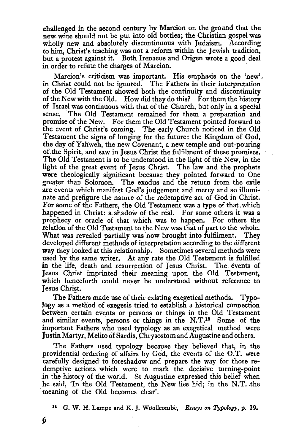challenged in the second century by Marcion on the ground that the new. wine should not be put into old bottles; the Christian gospel was wholly new and absolutely discontinuous with Judaism. According to him, Christ's teaching was not a reform within the Jewish tradition, but a protest against it. Both lrenaeus and Origen wrote a good deal in order to refute the charges of Marcion.

Marcion's criticism was important. His emphasis on the 'new', in Christ could not be ignored. The Fathers in their interpretation of the Old Testament showed both the continuity and discontinuity of the New with the Old. How did they do this? For them the history of Israel was continuous with that of the Church, but only in a special sense. The Old Testament remained for them a preparation and promise of the New. For them the Old Testament pointed forward to the event of Christ's coming. The early Church noticed in the Old Testament the signs of longing for the future: the Kingdom of God, the day of Yahweh, the new Covenant, a new temple and out-pouring of the Spirit, and saw in Jesus Christ the fulfilment of these promises. The Old Testament is to be understood in the light of the New, in the light of the great event of Jesus Christ. The law and the prophets were theologically significant because they pointed forward to One greater than Solomon. The exodus and the return from the exile are events which manifest God's judgement and mercy and so illuminate and prefigure the nature of the redemptive act of God in Christ. For some of the Fathers, the Old Testament was a type of that, which happened in Christ: a shadow of the real. For some others if was a prophecy or oracle of that which was to happen. For others the relation of the Old Testament to the New was that of part to the whole. What was revealed partially was now brought into fulfilment. They developed different methods of interpretation according to the different way they looked at this relationship. Sometimes several methods were used by the same writer. At any rate the Old Testament is fulfilled in the life, death and resurrection of Jesus Christ. The events of Jesus Christ imprinted their meaning upon the Old Testament, which henceforth could never be understood without reference to Jesus Christ.

The Fathers made use of their existing exegetical methods. Typology as a method of exegesis tried to establish a historical connection between certain events or persons or things in the Old Testament and similar events, persons or things in the N.T.18 Some of the important Fathers who used typology as an exegetical method were Justin Martyr, Melito of Sardis, Chrysostom and Augustine and others.

The Fathers used typology because they believed that, in the providential ordering of affairs by God, the events of the O.T. were carefully designed to foreshadow and prepare the way for those redemptive actions which were to mark the decisive turning-point in the history of the world. St Augustine expressed this belief when he said, 'In the Old Testament, the New lies hid; in the N.T. the meaning of the Old becomes clear'.

18 G. W. H. Lampe and K. J. Woollcombe, *Essays on Typology,* p. 39.

:J)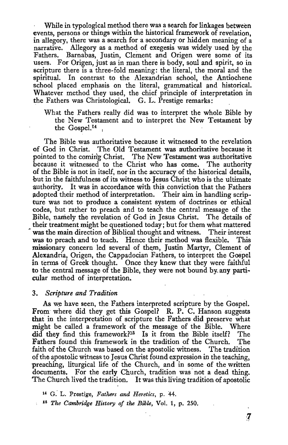While in typological method there was a search for linkages between events, persons or things within the historical framework of revelation, in allegory, there was a search for a secondary or hidden meaning of a narrative. Allegory as a method of exegesis was widely used by the Fathers. Barnabas, Justin, Clement and Origen were some of its users. For Origen, just as in man there is body, soul and spirit, so in scripture there is a three-fold meaning: the literal, the moral and the spiritual. In contrast to the Alexandrian school, the Antiochene school placed emphasis on the literal, grammatical and historical. Whatever method they used, the chief principle of interpretation in the Fathers was Christological. G. L. Prestige remarks:

What the Fathers really did was to interpret the whole Bible by the New Testament and to interpret the New Testament by the Gospe1.14 ,

The Bible was authoritative because it witnessed to the revelation of God in Christ. The Old Testament was authoritative because it pointed to the coming Christ. The New Testament was authoritative because it witnessed to the Christ who has come. The authority of the Bible is not in itself, nor in the accuracy of the historical details, but in the faithfulness of its witness to Jesus Christ who is the ultimate authority. It was in accordance with this \_conviction that the Fathers adopted their method of interpretation. Their aim in handling scripture was not to produce a consistent system of doctrines or ethical codes, but rather to preach and to teach the central message of the Bible, namely the revelation of God in Jesus Christ. The details of their treatment might be questioned today; but for them what mattered was the main direction of Biblical thought and witness. Their interest was to preach and to teach. Hence their method was flexible. This missionary concern led several of them. Justin Martyr, Clement of Alexandria, Origen, the Cappadocian Fathers, to interpret the Gospel in terms of Greek thought. Once they knew that they were faithful to the central message of the Bible, they were not bound by. any particular method of interpretation.

#### 3. *Scripture and Tradition*

As we have seen, the Fathers interpreted scripture by the Gospel. From where did they get this Gospel? R. P. C. Hanson suggests that in the interpretation of scripture the Fathers did preserve what might be called a framework of the message of the Bible. Where did they find this framework?<sup>15</sup> Is it from the Bible itself? The Fathers found this framework in the tradition of the Church. The faith of the Church was based on the apostolic witness. The tradition of the apostolic witness to Jesus Christ found expression in the teaching, preaching, liturgical life of the Church, and in some of the written documents. For the early Church, tradition was not a dead thing. The Church lived the tradition. It was this living tradition of apostolic

u G.' L. Prestige, *Fathers and Heretics,* p. 44.

u *The Cambridge History of the Bible,* Vol. 1, p. 250.

 $\boldsymbol{7}$